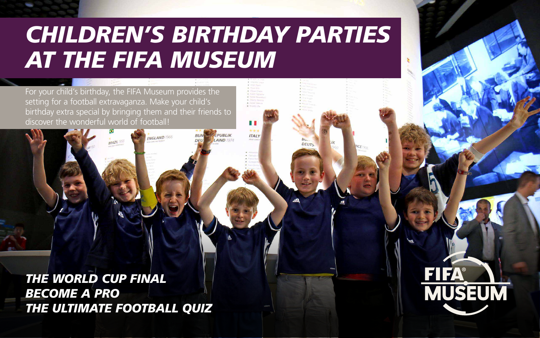# *CHILDREN'S BIRTHDAY PARTIES AT THE FIFA MUSEUM*

**ITALY** 

For your child's birthday, the FIFA Museum provides the setting for a football extravaganza. Make your child's birthday extra special by bringing them and their friends to discover the wonderful world of football!

*THE WORLD CUP FINA[L](#page-1-0) BECOME A PRO THE ULTIMATE FOOTBALL QUIZ*

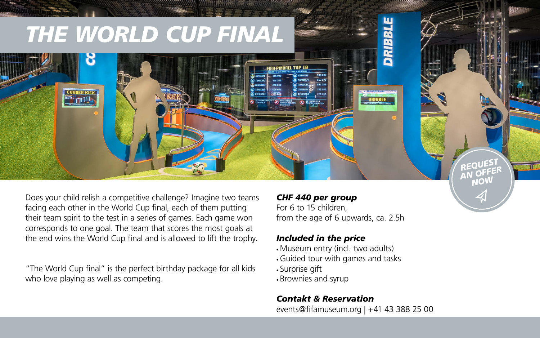Does your child relish a competitive challenge? Imagine two teams facing each other in the World Cup final, each of them putting their team spirit to the test in a series of games. Each game won corresponds to one goal. The team that scores the most goals at the end wins the World Cup final and is allowed to lift the trophy.

# <span id="page-1-0"></span>*THE WORLD CUP FINAL* **CORNER KICK DRIBBLE**

"The World Cup final" is the perfect birthday package for all kids who love playing as well as competing.

## *CHF 440 per group*

For 6 to 15 children, from the age of 6 upwards, ca. 2.5h

# *Included in the price*

- Museum entry (incl. two adults)
- Guided tour with games and tasks
- Surprise gift
- Brownies and syrup

# *Contakt & Reservation*

[events@fifamuseum.org](mailto:events%40fifamuseum.org?subject=Anfrage%20Events) | +41 43 388 25 00

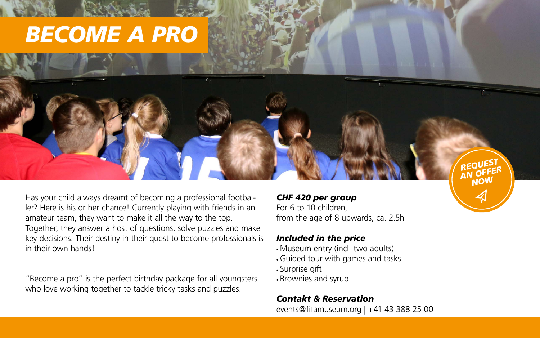amateur team, they want to make it all the way to the top. Together, they answer a host of questions, solve puzzles and make key decisions. Their destiny in their quest to become professionals is in their own hands!



"Become a pro" is the perfect birthday package for all youngsters who love working together to tackle tricky tasks and puzzles.

from the age of 8 upwards, ca. 2.5h

# *Included in the price*

- Museum entry (incl. two adults)
- Guided tour with games and tasks
- Surprise gift
- Brownies and syrup

# *Contakt & Reservation*

[events@fifamuseum.org](mailto:events%40fifamuseum.org?subject=Anfrage%20Events) | +41 43 388 25 00